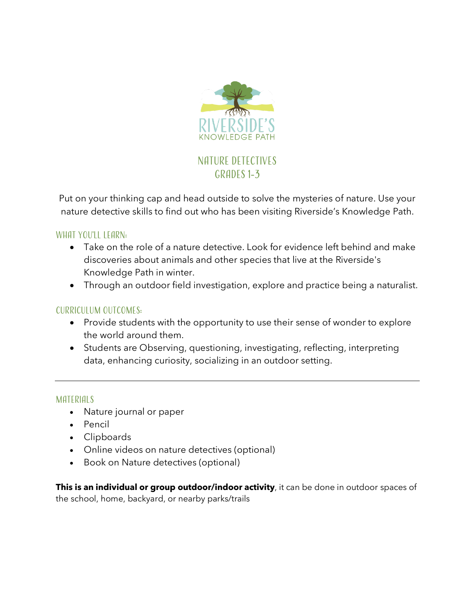

Put on your thinking cap and head outside to solve the mysteries of nature. Use your nature detective skills to find out who has been visiting Riverside's Knowledge Path.

WHAT YOU'LL LEARN:

- Take on the role of a nature detective. Look for evidence left behind and make discoveries about animals and other species that live at the Riverside's Knowledge Path in winter.
- Through an outdoor field investigation, explore and practice being a naturalist.

## Curriculum Outcomes:

- Provide students with the opportunity to use their sense of wonder to explore the world around them.
- Students are Observing, questioning, investigating, reflecting, interpreting data, enhancing curiosity, socializing in an outdoor setting.

### MATERIALS

- Nature journal or paper
- Pencil
- Clipboards
- Online videos on nature detectives (optional)
- Book on Nature detectives (optional)

**This is an individual or group outdoor/indoor activity**, it can be done in outdoor spaces of the school, home, backyard, or nearby parks/trails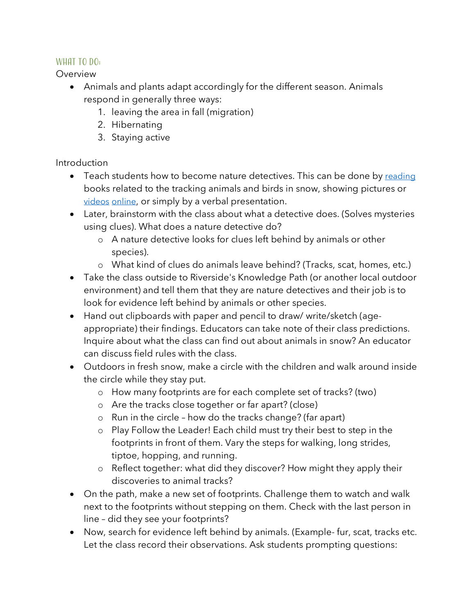# WHAT TO DO:

Overview

- Animals and plants adapt accordingly for the different season. Animals respond in generally three ways:
	- 1. leaving the area in fall (migration)
	- 2. Hibernating
	- 3. Staying active

# Introduction

- Teach students how to become nature detectives. This can be done by reading books related to the tracking animals and birds in snow, showing pictures or videos online, or simply by a verbal presentation.
- Later, brainstorm with the class about what a detective does. (Solves mysteries using clues). What does a nature detective do?
	- o A nature detective looks for clues left behind by animals or other species).
	- o What kind of clues do animals leave behind? (Tracks, scat, homes, etc.)
- Take the class outside to Riverside's Knowledge Path (or another local outdoor environment) and tell them that they are nature detectives and their job is to look for evidence left behind by animals or other species.
- Hand out clipboards with paper and pencil to draw/ write/sketch (ageappropriate) their findings. Educators can take note of their class predictions. Inquire about what the class can find out about animals in snow? An educator can discuss field rules with the class.
- Outdoors in fresh snow, make a circle with the children and walk around inside the circle while they stay put.
	- o How many footprints are for each complete set of tracks? (two)
	- o Are the tracks close together or far apart? (close)
	- o Run in the circle how do the tracks change? (far apart)
	- o Play Follow the Leader! Each child must try their best to step in the footprints in front of them. Vary the steps for walking, long strides, tiptoe, hopping, and running.
	- o Reflect together: what did they discover? How might they apply their discoveries to animal tracks?
- On the path, make a new set of footprints. Challenge them to watch and walk next to the footprints without stepping on them. Check with the last person in line – did they see your footprints?
- Now, search for evidence left behind by animals. (Example- fur, scat, tracks etc. Let the class record their observations. Ask students prompting questions: